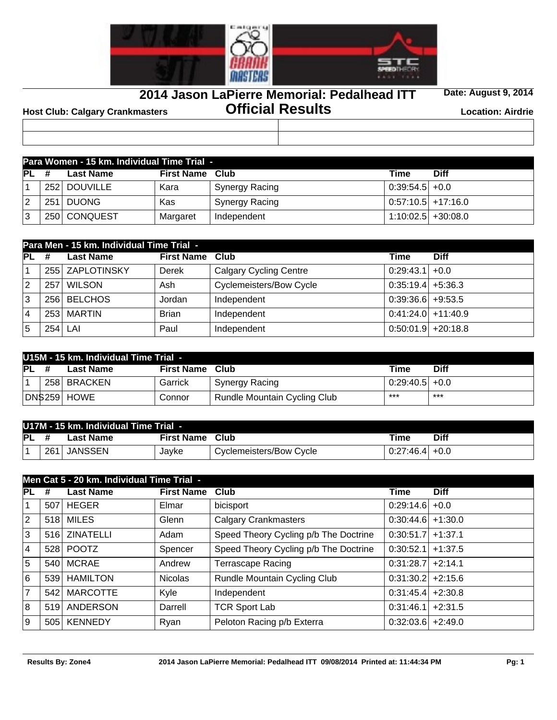

**2014 Jason LaPierre Memorial: Pedalhead ITT**

**Date: August 9, 2014**

**Official Results Host Club: Calgary Crankmasters Location: Airdrie**

|    | Para Women - 15 km. Individual Time Trial - |              |                   |                |                      |             |  |  |  |  |
|----|---------------------------------------------|--------------|-------------------|----------------|----------------------|-------------|--|--|--|--|
| PL | #                                           | Last Name    | <b>First Name</b> | <b>Club</b>    | Time                 | <b>Diff</b> |  |  |  |  |
|    |                                             | 252 DOUVILLE | Kara              | Synergy Racing | $0:39:54.5$ + 0.0    |             |  |  |  |  |
| 12 |                                             | 251 DUONG    | Kas               | Synergy Racing | $0:57:10.5$ +17:16.0 |             |  |  |  |  |
| 3  |                                             | 250 CONQUEST | Margaret          | Independent    | $1:10:02.5$ +30:08.0 |             |  |  |  |  |

|                | Para Men - 15 km. Individual Time Trial - |                  |                        |                                |                       |             |  |  |  |  |
|----------------|-------------------------------------------|------------------|------------------------|--------------------------------|-----------------------|-------------|--|--|--|--|
| PL             | #                                         | <b>Last Name</b> | <b>First Name Club</b> |                                | Time                  | <b>Diff</b> |  |  |  |  |
|                |                                           | 255 ZAPLOTINSKY  | Derek                  | <b>Calgary Cycling Centre</b>  | $0:29:43.1$ +0.0      |             |  |  |  |  |
| 2              | 257                                       | <b>WILSON</b>    | Ash                    | <b>Cyclemeisters/Bow Cycle</b> | $0:35:19.4$ +5:36.3   |             |  |  |  |  |
| 3              |                                           | 256 BELCHOS      | Jordan                 | Independent                    | $0:39:36.6$ +9:53.5   |             |  |  |  |  |
| $\overline{4}$ |                                           | 253 MARTIN       | <b>Brian</b>           | Independent                    | $0:41:24.0$ + 11:40.9 |             |  |  |  |  |
| 5              |                                           | $254$ LAI        | Paul                   | Independent                    | $0:50:01.9$ +20:18.8  |             |  |  |  |  |

|      | U15M - 15 km. Individual Time Trial - |               |                   |                              |                   |             |  |  |  |  |
|------|---------------------------------------|---------------|-------------------|------------------------------|-------------------|-------------|--|--|--|--|
| IPL. |                                       | Last Name     | <b>First Name</b> | Club                         | Time              | <b>Diff</b> |  |  |  |  |
|      |                                       | 258 BRACKEN   | Garrick           | Synergy Racing               | $0:29:40.5$ + 0.0 |             |  |  |  |  |
|      |                                       | DN\$259  HOWE | Connor            | Rundle Mountain Cycling Club | $***$             | ***         |  |  |  |  |

|    | U17M - 15 km. Individual Time Trial - |           |                   |                         |                   |      |  |  |  |
|----|---------------------------------------|-----------|-------------------|-------------------------|-------------------|------|--|--|--|
| PL |                                       | Last Name | <b>First Name</b> | Club                    | Time              | Diff |  |  |  |
|    | $-261'$                               | JANSSEN   | Javke             | Cyclemeisters/Bow Cycle | $0:27:46.4$ + 0.0 |      |  |  |  |

|                 | Men Cat 5 - 20 km. Individual Time Trial - |                  |                   |                                       |                     |             |  |  |  |  |
|-----------------|--------------------------------------------|------------------|-------------------|---------------------------------------|---------------------|-------------|--|--|--|--|
| $\overline{PL}$ | #                                          | <b>Last Name</b> | <b>First Name</b> | Club                                  | <b>Time</b>         | <b>Diff</b> |  |  |  |  |
| 1               | 507                                        | <b>HEGER</b>     | Elmar             | bicisport                             | $0:29:14.6$ + 0.0   |             |  |  |  |  |
| $ 2\rangle$     |                                            | 518 MILES        | Glenn             | <b>Calgary Crankmasters</b>           | $0:30:44.6$ +1:30.0 |             |  |  |  |  |
| Ιз              | 516                                        | <b>ZINATELLI</b> | Adam              | Speed Theory Cycling p/b The Doctrine | $0:30:51.7$ +1:37.1 |             |  |  |  |  |
| <sup>4</sup>    |                                            | 528 POOTZ        | Spencer           | Speed Theory Cycling p/b The Doctrine | $0:30:52.1$ +1:37.5 |             |  |  |  |  |
| 5               | 540                                        | <b>MCRAE</b>     | Andrew            | <b>Terrascape Racing</b>              | $0:31:28.7$ +2:14.1 |             |  |  |  |  |
| 6               |                                            | 539 HAMILTON     | <b>Nicolas</b>    | Rundle Mountain Cycling Club          | $0:31:30.2$ +2:15.6 |             |  |  |  |  |
| 7               | 542                                        | <b>MARCOTTE</b>  | Kyle              | Independent                           | $0:31:45.4$ +2:30.8 |             |  |  |  |  |
| 8               | 519                                        | ANDERSON         | Darrell           | <b>TCR Sport Lab</b>                  | $0:31:46.1$ +2:31.5 |             |  |  |  |  |
| 9               | 505                                        | <b>KENNEDY</b>   | Ryan              | Peloton Racing p/b Exterra            | $0:32:03.6$ +2:49.0 |             |  |  |  |  |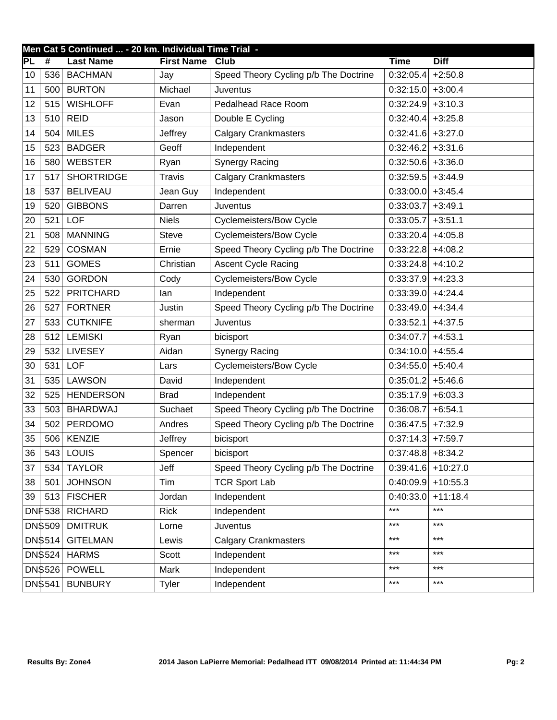|     | Men Cat 5 Continued  - 20 km. Individual Time Trial - |                   |                   |                                       |                                |                      |  |  |  |
|-----|-------------------------------------------------------|-------------------|-------------------|---------------------------------------|--------------------------------|----------------------|--|--|--|
| IPL | #                                                     | <b>Last Name</b>  | <b>First Name</b> | <b>Club</b>                           | <b>Time</b>                    | <b>Diff</b>          |  |  |  |
| 10  | 536                                                   | <b>BACHMAN</b>    | Jay               | Speed Theory Cycling p/b The Doctrine | 0:32:05.4                      | $+2:50.8$            |  |  |  |
| 11  | 500                                                   | <b>BURTON</b>     | Michael           | Juventus                              | 0:32:15.0                      | $+3:00.4$            |  |  |  |
| 12  | 515                                                   | <b>WISHLOFF</b>   | Evan              | Pedalhead Race Room                   | $0:32:24.9$ +3:10.3            |                      |  |  |  |
| 13  | 510                                                   | <b>REID</b>       | Jason             | Double E Cycling                      | $0:32:40.4$ +3:25.8            |                      |  |  |  |
| 14  | 504                                                   | <b>MILES</b>      | Jeffrey           | <b>Calgary Crankmasters</b>           | $0:32:41.6$ +3:27.0            |                      |  |  |  |
| 15  | 523                                                   | <b>BADGER</b>     | Geoff             | Independent                           | $0:32:46.2$ + 3:31.6           |                      |  |  |  |
| 16  | 580                                                   | <b>WEBSTER</b>    | Ryan              | <b>Synergy Racing</b>                 | $0:32:50.6$ +3:36.0            |                      |  |  |  |
| 17  | 517                                                   | <b>SHORTRIDGE</b> | <b>Travis</b>     | <b>Calgary Crankmasters</b>           | 0:32:59.5                      | $+3:44.9$            |  |  |  |
| 18  | 537                                                   | <b>BELIVEAU</b>   | Jean Guy          | Independent                           | $0:33:00.0$ +3:45.4            |                      |  |  |  |
| 19  | 520                                                   | <b>GIBBONS</b>    | Darren            | Juventus                              | $0:33:03.7$ +3:49.1            |                      |  |  |  |
| 20  | 521                                                   | <b>LOF</b>        | <b>Niels</b>      | Cyclemeisters/Bow Cycle               | 0:33:05.7                      | $+3:51.1$            |  |  |  |
| 21  | 508                                                   | <b>MANNING</b>    | <b>Steve</b>      | Cyclemeisters/Bow Cycle               | $0:33:20.4$ +4:05.8            |                      |  |  |  |
| 22  | 529                                                   | <b>COSMAN</b>     | Ernie             | Speed Theory Cycling p/b The Doctrine | $0:33:22.8$ +4:08.2            |                      |  |  |  |
| 23  | 511                                                   | <b>GOMES</b>      | Christian         | Ascent Cycle Racing                   | $0:33:24.8$ +4:10.2            |                      |  |  |  |
| 24  | 530                                                   | <b>GORDON</b>     | Cody              | Cyclemeisters/Bow Cycle               | $0:33:37.9$ +4:23.3            |                      |  |  |  |
| 25  | 522                                                   | <b>PRITCHARD</b>  | lan               | Independent                           | $0:33:39.0$ +4:24.4            |                      |  |  |  |
| 26  | 527                                                   | <b>FORTNER</b>    | Justin            | Speed Theory Cycling p/b The Doctrine | $0:33:49.0$ +4:34.4            |                      |  |  |  |
| 27  | 533                                                   | <b>CUTKNIFE</b>   | sherman           | <b>Juventus</b>                       | $0:33:52.1$ +4:37.5            |                      |  |  |  |
| 28  | 512                                                   | <b>LEMISKI</b>    | Ryan              | bicisport                             | $0:34:07.7$ +4:53.1            |                      |  |  |  |
| 29  | 532                                                   | <b>LIVESEY</b>    | Aidan             | <b>Synergy Racing</b>                 | $0:34:10.0$ +4:55.4            |                      |  |  |  |
| 30  | 531                                                   | <b>LOF</b>        | Lars              | Cyclemeisters/Bow Cycle               | $0:34:55.0$ +5:40.4            |                      |  |  |  |
| 31  | 535                                                   | <b>LAWSON</b>     | David             | Independent                           | $0:35:01.2$ +5:46.6            |                      |  |  |  |
| 32  | 525                                                   | <b>HENDERSON</b>  | <b>Brad</b>       | Independent                           | 0:35:17.9                      | $+6:03.3$            |  |  |  |
| 33  | 503                                                   | <b>BHARDWAJ</b>   | Suchaet           | Speed Theory Cycling p/b The Doctrine | $0:36:08.7$ +6:54.1            |                      |  |  |  |
| 34  | 502                                                   | PERDOMO           | Andres            | Speed Theory Cycling p/b The Doctrine | $0:36:47.5$ +7:32.9            |                      |  |  |  |
| 35  | 506                                                   | <b>KENZIE</b>     | Jeffrey           | bicisport                             | $0:37:14.3$ +7:59.7            |                      |  |  |  |
| 36  |                                                       | $543$ LOUIS       | Spencer           | bicisport                             | $\overline{0.37:}48.8$ +8:34.2 |                      |  |  |  |
| 37  | 534                                                   | <b>TAYLOR</b>     | Jeff              | Speed Theory Cycling p/b The Doctrine | 0:39:41.6                      | $+10:27.0$           |  |  |  |
| 38  | 501                                                   | <b>JOHNSON</b>    | Tim               | <b>TCR Sport Lab</b>                  |                                | $0:40:09.9$ +10:55.3 |  |  |  |
| 39  | 513                                                   | <b>FISCHER</b>    | Jordan            | Independent                           | 0:40:33.0                      | $+11:18.4$           |  |  |  |
|     | <b>DNF538</b>                                         | <b>RICHARD</b>    | <b>Rick</b>       | Independent                           | ***                            | $***$                |  |  |  |
|     | <b>DN\$509</b>                                        | <b>DMITRUK</b>    | Lorne             | Juventus                              | $***$                          | $***$                |  |  |  |
|     | DN\$514                                               | <b>GITELMAN</b>   | Lewis             | <b>Calgary Crankmasters</b>           | ***                            | $***$                |  |  |  |
|     | DN\$524                                               | <b>HARMS</b>      | Scott             | Independent                           | ***                            | $***$                |  |  |  |
|     | <b>DN\$526</b>                                        | <b>POWELL</b>     | Mark              | Independent                           | ***                            | $***$                |  |  |  |
|     | DN\$541                                               | <b>BUNBURY</b>    | Tyler             | Independent                           | ***                            | $***$                |  |  |  |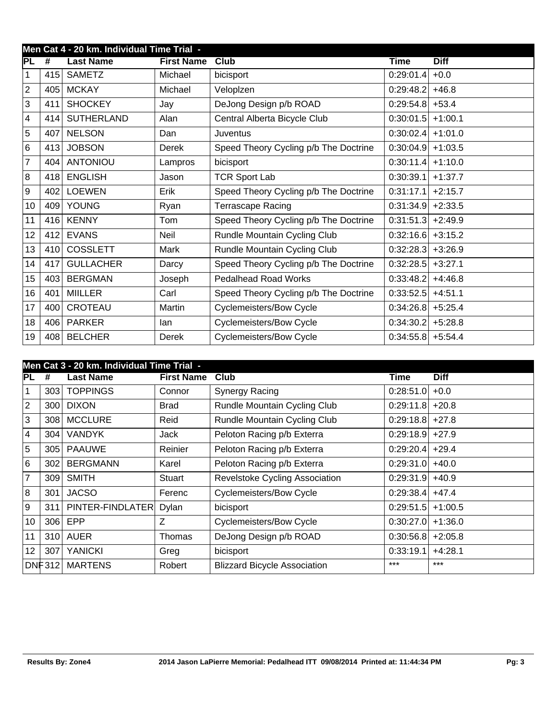|                  | Men Cat 4 - 20 km. Individual Time Trial - |                   |                   |                                       |                     |             |  |  |  |  |
|------------------|--------------------------------------------|-------------------|-------------------|---------------------------------------|---------------------|-------------|--|--|--|--|
| PL               | #                                          | <b>Last Name</b>  | <b>First Name</b> | Club                                  | Time                | <b>Diff</b> |  |  |  |  |
| 1                | 415                                        | <b>SAMETZ</b>     | Michael           | bicisport                             | 0:29:01.4           | $+0.0$      |  |  |  |  |
| $\overline{2}$   | 405                                        | <b>MCKAY</b>      | Michael           | Veloplzen                             | 0:29:48.2           | $+46.8$     |  |  |  |  |
| 3                | 411                                        | <b>SHOCKEY</b>    | Jay               | DeJong Design p/b ROAD                | 0:29:54.8           | $+53.4$     |  |  |  |  |
| 4                | 414                                        | <b>SUTHERLAND</b> | Alan              | Central Alberta Bicycle Club          | 0:30:01.5           | $+1:00.1$   |  |  |  |  |
| $\overline{5}$   | 407                                        | <b>NELSON</b>     | Dan               | Juventus                              | 0:30:02.4           | $+1:01.0$   |  |  |  |  |
| $6\phantom{1}$   | 413                                        | <b>JOBSON</b>     | Derek             | Speed Theory Cycling p/b The Doctrine | 0:30:04.9           | $+1:03.5$   |  |  |  |  |
| 7                | 404                                        | <b>ANTONIOU</b>   | Lampros           | bicisport                             | 0:30:11.4           | $+1:10.0$   |  |  |  |  |
| 8                | 418                                        | <b>ENGLISH</b>    | Jason             | <b>TCR Sport Lab</b>                  | 0:30:39.1           | $+1:37.7$   |  |  |  |  |
| $\boldsymbol{9}$ | 402                                        | <b>LOEWEN</b>     | Erik              | Speed Theory Cycling p/b The Doctrine | 0:31:17.1           | $+2:15.7$   |  |  |  |  |
| 10               | 409                                        | <b>YOUNG</b>      | Ryan              | Terrascape Racing                     | 0:31:34.9           | $+2:33.5$   |  |  |  |  |
| 11               | 416                                        | <b>KENNY</b>      | Tom               | Speed Theory Cycling p/b The Doctrine | 0:31:51.3           | $+2:49.9$   |  |  |  |  |
| 12               | 412                                        | <b>EVANS</b>      | <b>Neil</b>       | Rundle Mountain Cycling Club          | 0:32:16.6           | $+3:15.2$   |  |  |  |  |
| 13               | 410                                        | <b>COSSLETT</b>   | Mark              | Rundle Mountain Cycling Club          | 0:32:28.3           | $+3:26.9$   |  |  |  |  |
| 14               | 417                                        | <b>GULLACHER</b>  | Darcy             | Speed Theory Cycling p/b The Doctrine | 0:32:28.5           | $+3:27.1$   |  |  |  |  |
| 15               | 403                                        | <b>BERGMAN</b>    | Joseph            | Pedalhead Road Works                  | 0:33:48.2           | $+4:46.8$   |  |  |  |  |
| 16               | 401                                        | <b>MIILLER</b>    | Carl              | Speed Theory Cycling p/b The Doctrine | 0:33:52.5           | $+4:51.1$   |  |  |  |  |
| 17               | 400                                        | CROTEAU           | Martin            | <b>Cyclemeisters/Bow Cycle</b>        | 0:34:26.8           | $+5:25.4$   |  |  |  |  |
| 18               | 406                                        | <b>PARKER</b>     | lan               | Cyclemeisters/Bow Cycle               | $0:34:30.2$ +5:28.8 |             |  |  |  |  |
| 19               | 408                                        | <b>BELCHER</b>    | Derek             | <b>Cyclemeisters/Bow Cycle</b>        | $0:34:55.8$ +5:54.4 |             |  |  |  |  |

|                | Men Cat 3 - 20 km. Individual Time Trial - |                        |                   |                                     |                   |             |  |  |  |  |
|----------------|--------------------------------------------|------------------------|-------------------|-------------------------------------|-------------------|-------------|--|--|--|--|
| PL             | #                                          | <b>Last Name</b>       | <b>First Name</b> | Club                                | Time              | <b>Diff</b> |  |  |  |  |
| $\mathbf{1}$   | 303                                        | <b>TOPPINGS</b>        | Connor            | <b>Synergy Racing</b>               | 0:28:51.0         | $+0.0$      |  |  |  |  |
| $ 2\rangle$    | 300 <sub>1</sub>                           | <b>DIXON</b>           | <b>Brad</b>       | Rundle Mountain Cycling Club        | 0:29:11.8         | $+20.8$     |  |  |  |  |
| 3              | 308                                        | <b>MCCLURE</b>         | Reid              | Rundle Mountain Cycling Club        | $0:29:18.8$ +27.8 |             |  |  |  |  |
| 4              | 304                                        | <b>VANDYK</b>          | Jack              | Peloton Racing p/b Exterra          | 0:29:18.9         | $+27.9$     |  |  |  |  |
| 5              | 305                                        | <b>PAAUWE</b>          | Reinier           | Peloton Racing p/b Exterra          | $0:29:20.4$ +29.4 |             |  |  |  |  |
| 6              | 302                                        | <b>BERGMANN</b>        | Karel             | Peloton Racing p/b Exterra          | 0:29:31.0         | $+40.0$     |  |  |  |  |
| $\overline{7}$ | 309 <sub>1</sub>                           | <b>SMITH</b>           | Stuart            | Revelstoke Cycling Association      | $0:29:31.9$ +40.9 |             |  |  |  |  |
| 8              | 301                                        | <b>JACSO</b>           | Ferenc            | <b>Cyclemeisters/Bow Cycle</b>      | $0:29:38.4$ +47.4 |             |  |  |  |  |
| 9              | 311                                        | PINTER-FINDLATER Dylan |                   | bicisport                           | 0:29:51.5         | $+1:00.5$   |  |  |  |  |
| 10             | 306                                        | EPP                    | Z                 | <b>Cyclemeisters/Bow Cycle</b>      | 0:30:27.0         | $+1:36.0$   |  |  |  |  |
| 11             |                                            | 310 AUER               | Thomas            | DeJong Design p/b ROAD              | 0:30:56.8         | $+2:05.8$   |  |  |  |  |
| 12             | 307                                        | <b>YANICKI</b>         | Greg              | bicisport                           | 0:33:19.1         | $+4:28.1$   |  |  |  |  |
|                | DNF312                                     | <b>MARTENS</b>         | Robert            | <b>Blizzard Bicycle Association</b> | $***$             | $***$       |  |  |  |  |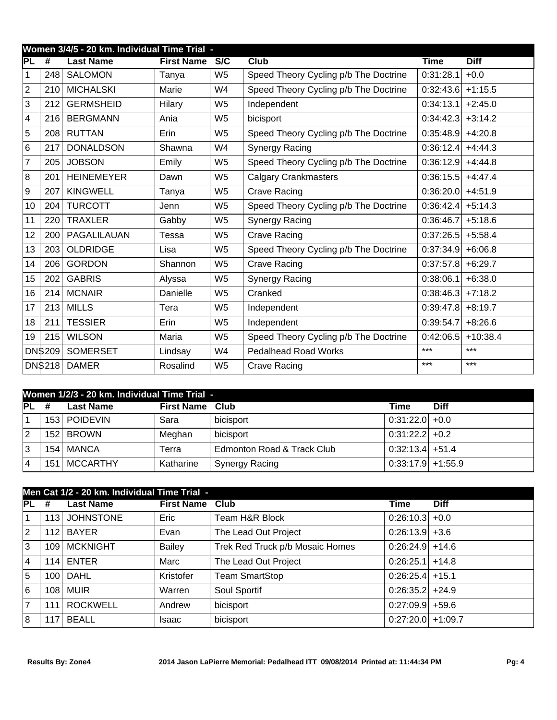|                  | Women 3/4/5 - 20 km. Individual Time Trial - |                   |                   |                |                                       |             |             |  |  |  |  |
|------------------|----------------------------------------------|-------------------|-------------------|----------------|---------------------------------------|-------------|-------------|--|--|--|--|
| IPL              | $\overline{\boldsymbol{t}}$                  | <b>Last Name</b>  | <b>First Name</b> | S/C            | Club                                  | <b>Time</b> | <b>Diff</b> |  |  |  |  |
| 1                | 248                                          | <b>SALOMON</b>    | Tanya             | W <sub>5</sub> | Speed Theory Cycling p/b The Doctrine | 0:31:28.1   | $+0.0$      |  |  |  |  |
| $\overline{2}$   | 210                                          | <b>MICHALSKI</b>  | Marie             | W4             | Speed Theory Cycling p/b The Doctrine | 0:32:43.6   | $+1:15.5$   |  |  |  |  |
| 3                | 212                                          | <b>GERMSHEID</b>  | Hilary            | W <sub>5</sub> | Independent                           | 0:34:13.1   | $+2:45.0$   |  |  |  |  |
| 4                | 216                                          | <b>BERGMANN</b>   | Ania              | W <sub>5</sub> | bicisport                             | 0:34:42.3   | $+3:14.2$   |  |  |  |  |
| $\overline{5}$   | 208                                          | <b>RUTTAN</b>     | Erin              | W <sub>5</sub> | Speed Theory Cycling p/b The Doctrine | 0:35:48.9   | $+4:20.8$   |  |  |  |  |
| $6\phantom{1}$   | 217                                          | <b>DONALDSON</b>  | Shawna            | W4             | Synergy Racing                        | 0:36:12.4   | $+4:44.3$   |  |  |  |  |
| 7                | 205                                          | <b>JOBSON</b>     | Emily             | W <sub>5</sub> | Speed Theory Cycling p/b The Doctrine | 0:36:12.9   | $+4:44.8$   |  |  |  |  |
| 8                | 201                                          | <b>HEINEMEYER</b> | Dawn              | W <sub>5</sub> | <b>Calgary Crankmasters</b>           | 0:36:15.5   | $+4:47.4$   |  |  |  |  |
| $\boldsymbol{9}$ | 207                                          | <b>KINGWELL</b>   | Tanya             | W <sub>5</sub> | <b>Crave Racing</b>                   | 0:36:20.0   | $+4:51.9$   |  |  |  |  |
| 10               | 204                                          | <b>TURCOTT</b>    | Jenn              | W <sub>5</sub> | Speed Theory Cycling p/b The Doctrine | 0:36:42.4   | $+5:14.3$   |  |  |  |  |
| 11               | 220                                          | <b>TRAXLER</b>    | Gabby             | W <sub>5</sub> | Synergy Racing                        | 0:36:46.7   | $+5:18.6$   |  |  |  |  |
| 12               | 200                                          | PAGALILAUAN       | Tessa             | W <sub>5</sub> | <b>Crave Racing</b>                   | 0:37:26.5   | $+5:58.4$   |  |  |  |  |
| 13               | 203                                          | <b>OLDRIDGE</b>   | Lisa              | W <sub>5</sub> | Speed Theory Cycling p/b The Doctrine | 0:37:34.9   | $+6:06.8$   |  |  |  |  |
| 14               | 206                                          | <b>GORDON</b>     | Shannon           | W <sub>5</sub> | <b>Crave Racing</b>                   | 0:37:57.8   | $+6:29.7$   |  |  |  |  |
| 15               | 202                                          | <b>GABRIS</b>     | Alyssa            | W <sub>5</sub> | Synergy Racing                        | 0:38:06.1   | $+6:38.0$   |  |  |  |  |
| 16               | 214                                          | <b>MCNAIR</b>     | Danielle          | W <sub>5</sub> | Cranked                               | 0:38:46.3   | $+7:18.2$   |  |  |  |  |
| 17               | 213                                          | <b>MILLS</b>      | Tera              | W <sub>5</sub> | Independent                           | 0:39:47.8   | $+8:19.7$   |  |  |  |  |
| 18               | 211                                          | <b>TESSIER</b>    | Erin              | W <sub>5</sub> | Independent                           | 0:39:54.7   | $+8:26.6$   |  |  |  |  |
| 19               | 215                                          | <b>WILSON</b>     | Maria             | W <sub>5</sub> | Speed Theory Cycling p/b The Doctrine | 0:42:06.5   | $+10:38.4$  |  |  |  |  |
|                  | DN\$209                                      | <b>SOMERSET</b>   | Lindsay           | W4             | <b>Pedalhead Road Works</b>           | $***$       | $***$       |  |  |  |  |
|                  | DN\$218                                      | <b>DAMER</b>      | Rosalind          | W <sub>5</sub> | <b>Crave Racing</b>                   | $***$       | $***$       |  |  |  |  |

|    | Women 1/2/3 - 20 km. Individual Time Trial - |                  |                   |                            |                     |             |  |  |  |  |
|----|----------------------------------------------|------------------|-------------------|----------------------------|---------------------|-------------|--|--|--|--|
| PL | #                                            | <b>Last Name</b> | <b>First Name</b> | Club                       | Time                | <b>Diff</b> |  |  |  |  |
|    |                                              | 153 POIDEVIN     | Sara              | bicisport                  | $0:31:22.0$ +0.0    |             |  |  |  |  |
| 2  | 152 <sub>1</sub>                             | <b>BROWN</b>     | Meghan            | bicisport                  | $0:31:22.2$ + 0.2   |             |  |  |  |  |
| 3  | 154 <sub>1</sub>                             | <b>MANCA</b>     | Terra             | Edmonton Road & Track Club | $0:32:13.4$ +51.4   |             |  |  |  |  |
| 4  | 151                                          | <b>MCCARTHY</b>  | Katharine         | Synergy Racing             | $0:33:17.9$ +1:55.9 |             |  |  |  |  |

|             | Men Cat 1/2 - 20 km. Individual Time Trial - |                  |                   |                                 |                     |             |  |  |  |  |  |
|-------------|----------------------------------------------|------------------|-------------------|---------------------------------|---------------------|-------------|--|--|--|--|--|
| <b>PL</b>   | #                                            | <b>Last Name</b> | <b>First Name</b> | Club                            | <b>Time</b>         | <b>Diff</b> |  |  |  |  |  |
| $\vert$ 1   |                                              | 113 JOHNSTONE    | Eric              | Team H&R Block                  | $0:26:10.3$ +0.0    |             |  |  |  |  |  |
| $ 2\rangle$ |                                              | 112 BAYER        | Evan              | The Lead Out Project            | $0:26:13.9$ +3.6    |             |  |  |  |  |  |
| 3           |                                              | 109 MCKNIGHT     | <b>Bailey</b>     | Trek Red Truck p/b Mosaic Homes | $0:26:24.9$ +14.6   |             |  |  |  |  |  |
| l4          |                                              | 114 ENTER        | Marc              | The Lead Out Project            | $0:26:25.1$ +14.8   |             |  |  |  |  |  |
| 5           |                                              | 100 DAHL         | Kristofer         | <b>Team SmartStop</b>           | $0:26:25.4$ +15.1   |             |  |  |  |  |  |
| l 6         |                                              | <b>108 MUIR</b>  | Warren            | Soul Sportif                    | $0:26:35.2$ +24.9   |             |  |  |  |  |  |
| 7           | 111                                          | <b>ROCKWELL</b>  | Andrew            | bicisport                       | $0:27:09.9$ +59.6   |             |  |  |  |  |  |
| 8           |                                              | $117$ BEALL      | <b>Isaac</b>      | bicisport                       | $0:27:20.0$ +1:09.7 |             |  |  |  |  |  |